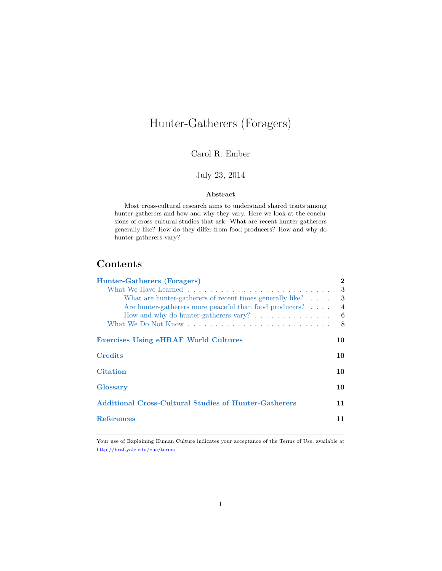# Hunter-Gatherers (Foragers)

### Carol R. Ember

## July 23, 2014

#### **Abstract**

Most cross-cultural research aims to understand shared traits among hunter-gatherers and how and why they vary. Here we look at the conclusions of cross-cultural studies that ask: What are recent hunter-gatherers generally like? How do they differ from food producers? How and why do hunter-gatherers vary?

# **Contents**

| Hunter-Gatherers (Foragers)                                     | $\bf{2}$       |
|-----------------------------------------------------------------|----------------|
|                                                                 | 3              |
| What are hunter-gatherers of recent times generally like?       | 3              |
| Are hunter-gatherers more peaceful than food producers?         | $\overline{4}$ |
| How and why do hunter-gatherers vary? $\dots \dots \dots \dots$ | - 6            |
|                                                                 | 8              |
| <b>Exercises Using eHRAF World Cultures</b>                     | 10             |
| <b>Credits</b>                                                  | 10             |
| <b>Citation</b>                                                 | 10             |
| <b>Glossary</b>                                                 | 10             |
| <b>Additional Cross-Cultural Studies of Hunter-Gatherers</b>    | 11             |
| <b>References</b>                                               | 11             |
|                                                                 |                |

Your use of Explaining Human Culture indicates your acceptance of the Terms of Use, available at <http://hraf.yale.edu/ehc/terms>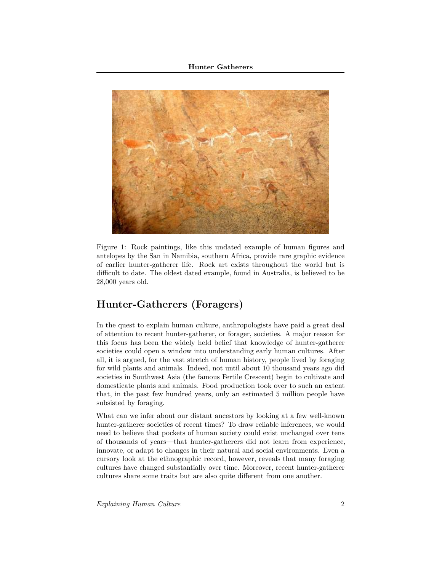

Figure 1: Rock paintings, like this undated example of human figures and antelopes by the San in Namibia, southern Africa, provide rare graphic evidence of earlier hunter-gatherer life. Rock art exists throughout the world but is difficult to date. The oldest dated example, found in Australia, is believed to be 28,000 years old.

# <span id="page-1-0"></span>**Hunter-Gatherers (Foragers)**

In the quest to explain human culture, anthropologists have paid a great deal of attention to recent hunter-gatherer, or forager, societies. A major reason for this focus has been the widely held belief that knowledge of hunter-gatherer societies could open a window into understanding early human cultures. After all, it is argued, for the vast stretch of human history, people lived by foraging for wild plants and animals. Indeed, not until about 10 thousand years ago did societies in Southwest Asia (the famous Fertile Crescent) begin to cultivate and domesticate plants and animals. Food production took over to such an extent that, in the past few hundred years, only an estimated 5 million people have subsisted by foraging.

What can we infer about our distant ancestors by looking at a few well-known hunter-gatherer societies of recent times? To draw reliable inferences, we would need to believe that pockets of human society could exist unchanged over tens of thousands of years—that hunter-gatherers did not learn from experience, innovate, or adapt to changes in their natural and social environments. Even a cursory look at the ethnographic record, however, reveals that many foraging cultures have changed substantially over time. Moreover, recent hunter-gatherer cultures share some traits but are also quite different from one another.

*Explaining Human Culture* 2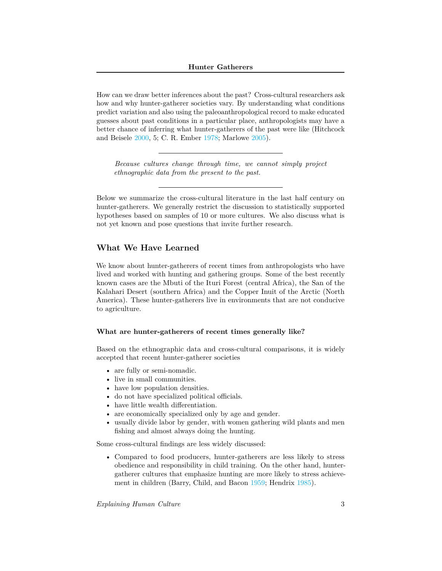How can we draw better inferences about the past? Cross-cultural researchers ask how and why hunter-gatherer societies vary. By understanding what conditions predict variation and also using the paleoanthropological record to make educated guesses about past conditions in a particular place, anthropologists may have a better chance of inferring what hunter-gatherers of the past were like (Hitchcock and Beisele [2000,](#page-11-0) 5; C. R. Ember [1978;](#page-10-2) Marlowe [2005\)](#page-11-1).

*Because cultures change through time, we cannot simply project ethnographic data from the present to the past.*

Below we summarize the cross-cultural literature in the last half century on hunter-gatherers. We generally restrict the discussion to statistically supported hypotheses based on samples of 10 or more cultures. We also discuss what is not yet known and pose questions that invite further research.

#### <span id="page-2-0"></span>**What We Have Learned**

We know about hunter-gatherers of recent times from anthropologists who have lived and worked with hunting and gathering groups. Some of the best recently known cases are the Mbuti of the Ituri Forest (central Africa), the San of the Kalahari Desert (southern Africa) and the Copper Inuit of the Arctic (North America). These hunter-gatherers live in environments that are not conducive to agriculture.

#### <span id="page-2-1"></span>**What are hunter-gatherers of recent times generally like?**

Based on the ethnographic data and cross-cultural comparisons, it is widely accepted that recent hunter-gatherer societies

- are fully or semi-nomadic.
- live in small communities.
- have low population densities.
- do not have specialized political officials.
- have little wealth differentiation.
- are economically specialized only by age and gender.
- usually divide labor by gender, with women gathering wild plants and men fishing and almost always doing the hunting.

Some cross-cultural findings are less widely discussed:

• Compared to food producers, hunter-gatherers are less likely to stress obedience and responsibility in child training. On the other hand, huntergatherer cultures that emphasize hunting are more likely to stress achievement in children (Barry, Child, and Bacon [1959;](#page-10-3) Hendrix [1985\)](#page-10-4).

*Explaining Human Culture* 3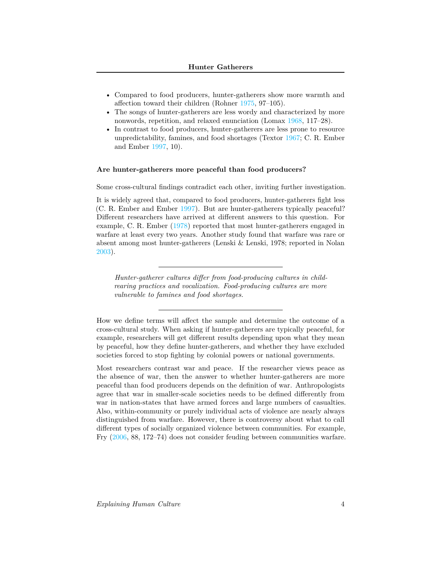- Compared to food producers, hunter-gatherers show more warmth and affection toward their children (Rohner [1975,](#page-11-2) 97–105).
- The songs of hunter-gatherers are less wordy and characterized by more nonwords, repetition, and relaxed enunciation (Lomax [1968,](#page-11-3) 117–28).
- In contrast to food producers, hunter-gatherers are less prone to resource unpredictability, famines, and food shortages (Textor [1967;](#page-11-4) C. R. Ember and Ember [1997,](#page-10-5) 10).

#### <span id="page-3-0"></span>**Are hunter-gatherers more peaceful than food producers?**

Some cross-cultural findings contradict each other, inviting further investigation.

It is widely agreed that, compared to food producers, hunter-gatherers fight less (C. R. Ember and Ember [1997\)](#page-10-5). But are hunter-gatherers typically peaceful? Different researchers have arrived at different answers to this question. For example, C. R. Ember [\(1978\)](#page-10-2) reported that most hunter-gatherers engaged in warfare at least every two years. Another study found that warfare was rare or absent among most hunter-gatherers (Lenski & Lenski, 1978; reported in Nolan [2003\)](#page-11-5).

*Hunter-gatherer cultures differ from food-producing cultures in childrearing practices and vocalization. Food-producing cultures are more vulnerable to famines and food shortages.*

How we define terms will affect the sample and determine the outcome of a cross-cultural study. When asking if hunter-gatherers are typically peaceful, for example, researchers will get different results depending upon what they mean by peaceful, how they define hunter-gatherers, and whether they have excluded societies forced to stop fighting by colonial powers or national governments.

Most researchers contrast war and peace. If the researcher views peace as the absence of war, then the answer to whether hunter-gatherers are more peaceful than food producers depends on the definition of war. Anthropologists agree that war in smaller-scale societies needs to be defined differently from war in nation-states that have armed forces and large numbers of casualties. Also, within-community or purely individual acts of violence are nearly always distinguished from warfare. However, there is controversy about what to call different types of socially organized violence between communities. For example, Fry [\(2006,](#page-10-6) 88, 172–74) does not consider feuding between communities warfare.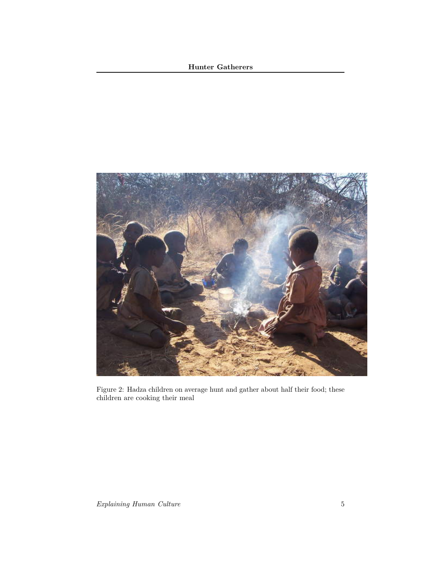#### **Hunter Gatherers**



Figure 2: Hadza children on average hunt and gather about half their food; these children are cooking their meal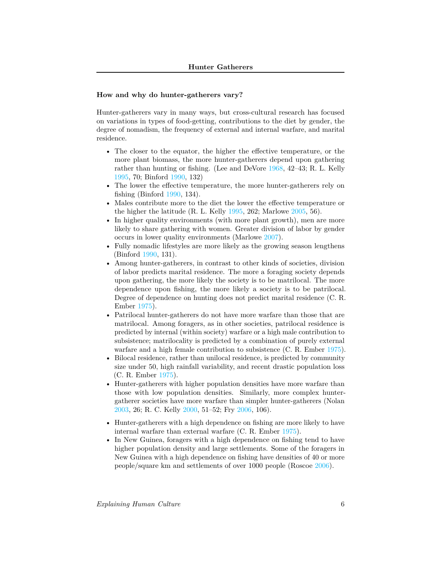#### <span id="page-5-0"></span>**How and why do hunter-gatherers vary?**

Hunter-gatherers vary in many ways, but cross-cultural research has focused on variations in types of food-getting, contributions to the diet by gender, the degree of nomadism, the frequency of external and internal warfare, and marital residence.

- The closer to the equator, the higher the effective temperature, or the more plant biomass, the more hunter-gatherers depend upon gathering rather than hunting or fishing. (Lee and DeVore [1968,](#page-11-6) 42–43; R. L. Kelly [1995,](#page-11-7) 70; Binford [1990,](#page-10-7) 132)
- The lower the effective temperature, the more hunter-gatherers rely on fishing (Binford [1990,](#page-10-7) 134).
- Males contribute more to the diet the lower the effective temperature or the higher the latitude (R. L. Kelly [1995,](#page-11-7) 262; Marlowe [2005,](#page-11-1) 56).
- In higher quality environments (with more plant growth), men are more likely to share gathering with women. Greater division of labor by gender occurs in lower quality environments (Marlowe [2007\)](#page-11-8).
- Fully nomadic lifestyles are more likely as the growing season lengthens (Binford [1990,](#page-10-7) 131).
- Among hunter-gatherers, in contrast to other kinds of societies, division of labor predicts marital residence. The more a foraging society depends upon gathering, the more likely the society is to be matrilocal. The more dependence upon fishing, the more likely a society is to be patrilocal. Degree of dependence on hunting does not predict marital residence (C. R. Ember [1975\)](#page-10-8).
- Patrilocal hunter-gatherers do not have more warfare than those that are matrilocal. Among foragers, as in other societies, patrilocal residence is predicted by internal (within society) warfare or a high male contribution to subsistence; matrilocality is predicted by a combination of purely external warfare and a high female contribution to subsistence (C. R. Ember [1975\)](#page-10-8).
- Bilocal residence, rather than unilocal residence, is predicted by community size under 50, high rainfall variability, and recent drastic population loss (C. R. Ember [1975\)](#page-10-8).
- Hunter-gatherers with higher population densities have more warfare than those with low population densities. Similarly, more complex huntergatherer societies have more warfare than simpler hunter-gatherers (Nolan [2003,](#page-11-5) 26; R. C. Kelly [2000,](#page-11-9) 51–52; Fry [2006,](#page-10-6) 106).
- Hunter-gatherers with a high dependence on fishing are more likely to have internal warfare than external warfare (C. R. Ember [1975\)](#page-10-8).
- In New Guinea, foragers with a high dependence on fishing tend to have higher population density and large settlements. Some of the foragers in New Guinea with a high dependence on fishing have densities of 40 or more people/square km and settlements of over 1000 people (Roscoe [2006\)](#page-11-10).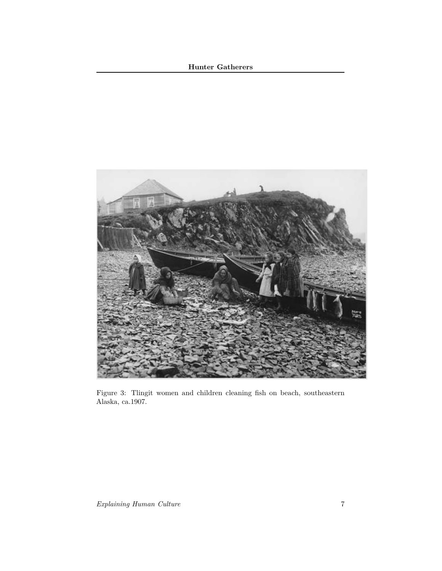## **Hunter Gatherers**



Figure 3: Tlingit women and children cleaning fish on beach, southeastern Alaska, ca.1907.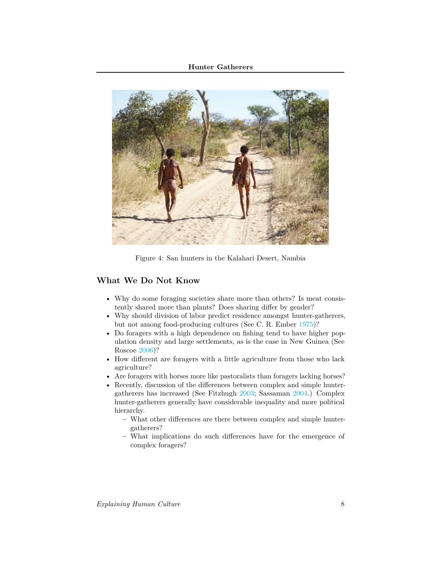

Figure 4: San hunters in the Kalahari Desert, Nambia

#### <span id="page-7-0"></span>**What We Do Not Know**

- Why do some foraging societies share more than others? Is meat consistently shared more than plants? Does sharing differ by gender?
- Why should division of labor predict residence amongst hunter-gatherers, but not among food-producing cultures (See C. R. Ember [1975\)](#page-10-8)?
- Do foragers with a high dependence on fishing tend to have higher population density and large settlements, as is the case in New Guinea (See Roscoe [2006\)](#page-11-10)?
- How different are foragers with a little agriculture from those who lack agriculture?
- Are foragers with horses more like pastoralists than foragers lacking horses?
- Recently, discussion of the differences between complex and simple huntergatherers has increased (See Fitzhugh [2003;](#page-10-9) Sassaman [2004.](#page-11-11)) Complex hunter-gatherers generally have considerable inequality and more political hierarchy.
	- **–** What other differences are there between complex and simple huntergatherers?
	- **–** What implications do such differences have for the emergence of complex foragers?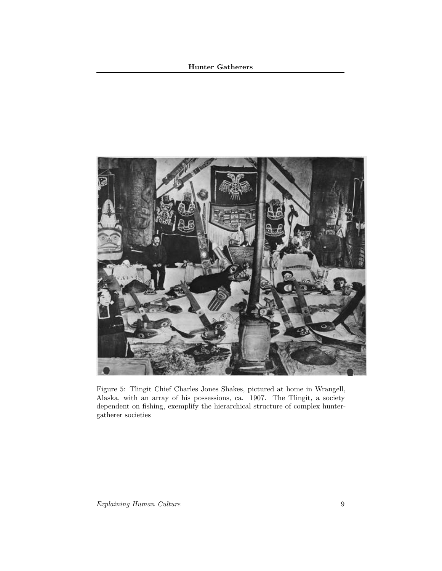#### **Hunter Gatherers**



Figure 5: Tlingit Chief Charles Jones Shakes, pictured at home in Wrangell, Alaska, with an array of his possessions, ca. 1907. The Tlingit, a society dependent on fishing, exemplify the hierarchical structure of complex huntergatherer societies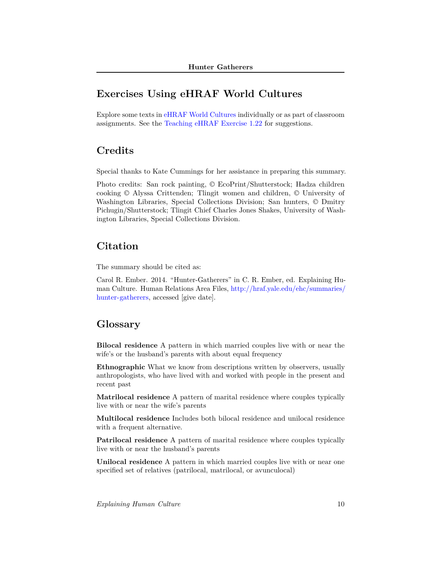# <span id="page-9-0"></span>**Exercises Using eHRAF World Cultures**

Explore some texts in [eHRAF World Cultures](http://ehrafworldcultures.yale.edu) individually or as part of classroom assignments. See the [Teaching eHRAF Exercise 1.22](http://hraf.yale.edu/resources/faculty/teaching-ehraf/1-22-hunter-gatherers-explaining-human-culture/) for suggestions.

# <span id="page-9-1"></span>**Credits**

Special thanks to Kate Cummings for her assistance in preparing this summary.

Photo credits: San rock painting, © EcoPrint/Shutterstock; Hadza children cooking © Alyssa Crittenden; Tlingit women and children, © University of Washington Libraries, Special Collections Division; San hunters, © Dmitry Pichugin/Shutterstock; Tlingit Chief Charles Jones Shakes, University of Washington Libraries, Special Collections Division.

### <span id="page-9-2"></span>**Citation**

The summary should be cited as:

Carol R. Ember. 2014. "Hunter-Gatherers" in C. R. Ember, ed. Explaining Human Culture. Human Relations Area Files, [http://hraf.yale.edu/ehc/summaries/](http://hraf.yale.edu/ehc/summaries/hunter-gatherers) [hunter-gatherers,](http://hraf.yale.edu/ehc/summaries/hunter-gatherers) accessed [give date].

# <span id="page-9-3"></span>**Glossary**

**Bilocal residence** A pattern in which married couples live with or near the wife's or the husband's parents with about equal frequency

**Ethnographic** What we know from descriptions written by observers, usually anthropologists, who have lived with and worked with people in the present and recent past

**Matrilocal residence** A pattern of marital residence where couples typically live with or near the wife's parents

**Multilocal residence** Includes both bilocal residence and unilocal residence with a frequent alternative.

**Patrilocal residence** A pattern of marital residence where couples typically live with or near the husband's parents

**Unilocal residence** A pattern in which married couples live with or near one specified set of relatives (patrilocal, matrilocal, or avunculocal)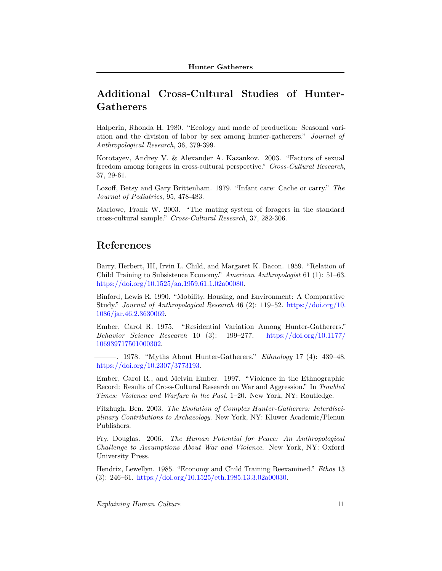# <span id="page-10-0"></span>**Additional Cross-Cultural Studies of Hunter-Gatherers**

Halperin, Rhonda H. 1980. "Ecology and mode of production: Seasonal variation and the division of labor by sex among hunter-gatherers." *Journal of Anthropological Research*, 36, 379-399.

Korotayev, Andrey V. & Alexander A. Kazankov. 2003. "Factors of sexual freedom among foragers in cross-cultural perspective." *Cross-Cultural Research*, 37, 29-61.

Lozoff, Betsy and Gary Brittenham. 1979. "Infant care: Cache or carry." *The Journal of Pediatrics*, 95, 478-483.

Marlowe, Frank W. 2003. "The mating system of foragers in the standard cross-cultural sample." *Cross-Cultural Research*, 37, 282-306.

# <span id="page-10-1"></span>**References**

<span id="page-10-3"></span>Barry, Herbert, III, Irvin L. Child, and Margaret K. Bacon. 1959. "Relation of Child Training to Subsistence Economy." *American Anthropologist* 61 (1): 51–63. [https://doi.org/10.1525/aa.1959.61.1.02a00080.](https://doi.org/10.1525/aa.1959.61.1.02a00080)

<span id="page-10-7"></span>Binford, Lewis R. 1990. "Mobility, Housing, and Environment: A Comparative Study." *Journal of Anthropological Research* 46 (2): 119–52. [https://doi.org/10.](https://doi.org/10.1086/jar.46.2.3630069) [1086/jar.46.2.3630069.](https://doi.org/10.1086/jar.46.2.3630069)

<span id="page-10-8"></span>Ember, Carol R. 1975. "Residential Variation Among Hunter-Gatherers." *Behavior Science Research* 10 (3): 199–277. [https://doi.org/10.1177/](https://doi.org/10.1177/106939717501000302) [106939717501000302.](https://doi.org/10.1177/106939717501000302)

<span id="page-10-2"></span>———. 1978. "Myths About Hunter-Gatherers." *Ethnology* 17 (4): 439–48. [https://doi.org/10.2307/3773193.](https://doi.org/10.2307/3773193)

<span id="page-10-5"></span>Ember, Carol R., and Melvin Ember. 1997. "Violence in the Ethnographic Record: Results of Cross-Cultural Research on War and Aggression." In *Troubled Times: Violence and Warfare in the Past*, 1–20. New York, NY: Routledge.

<span id="page-10-9"></span>Fitzhugh, Ben. 2003. *The Evolution of Complex Hunter-Gatherers: Interdisciplinary Contributions to Archaeology*. New York, NY: Kluwer Academic/Plenun Publishers.

<span id="page-10-6"></span>Fry, Douglas. 2006. *The Human Potential for Peace: An Anthropological Challenge to Assumptions About War and Violence*. New York, NY: Oxford University Press.

<span id="page-10-4"></span>Hendrix, Lewellyn. 1985. "Economy and Child Training Reexamined." *Ethos* 13 (3): 246–61. [https://doi.org/10.1525/eth.1985.13.3.02a00030.](https://doi.org/10.1525/eth.1985.13.3.02a00030)